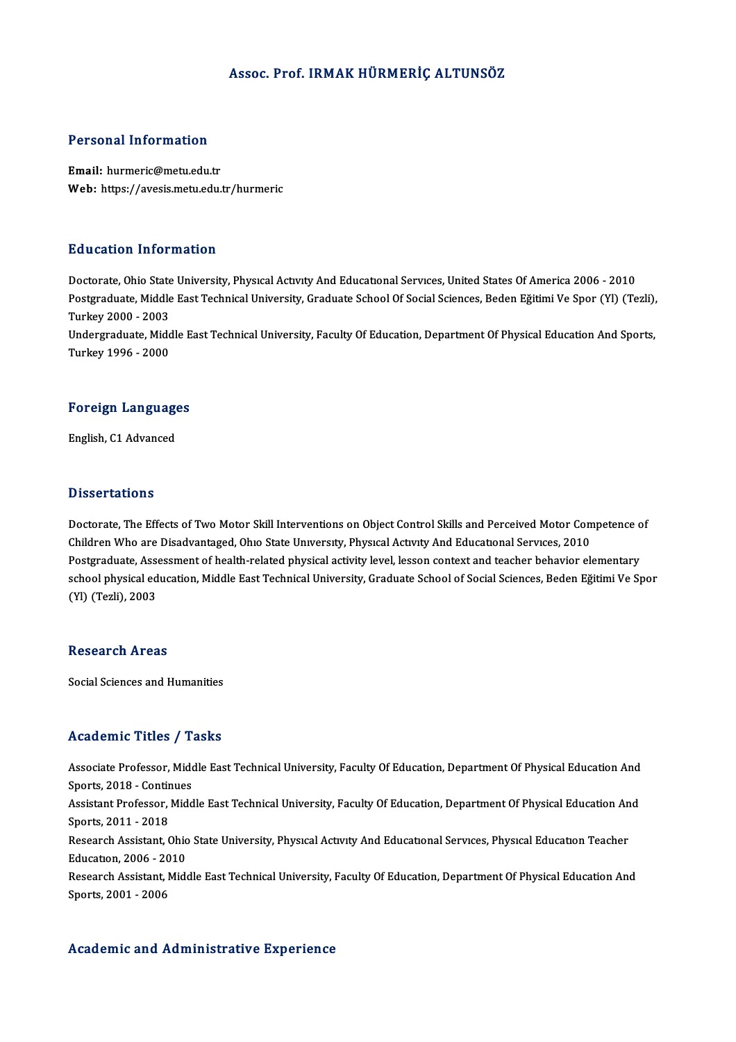### Assoc. Prof. IRMAKHÜRMERİÇ ALTUNSÖZ

### Personal Information

Email: hurmeric@metu.edu.tr Web: https://avesis.metu.edu.tr/hurmeric

### Education Information

Education Information<br>Doctorate, Ohio State University, Physical Activity And Educational Services, United States Of America 2006 - 2010<br>Postareduate Middle Fast Technical University, Craduate School Of Secial Sciences, Bo Postgraduate, Middle East Technical University, Graduate School Of Social Sciences, Beden Eğitimi Ve Spor (Yl) (Tezli),<br>Turkey 2000 - 2003 Doctorate, Ohio State<br>Postgraduate, Middle<br>Turkey 2000 - 2003<br>Undergraduate Mide Postgraduate, Middle East Technical University, Graduate School Of Social Sciences, Beden Eğitimi Ve Spor (Yl) (Tezli),<br>Turkey 2000 - 2003<br>Undergraduate, Middle East Technical University, Faculty Of Education, Department O Turkey 2000 - 2003<br>Undergraduate, Midc<br>Turkey 1996 - 2000

## Turkey 1996 - 2000<br>Foreign Languages F<mark>oreign Languag</mark>e<br>English, C1 Advanced

English, C1 Advanced<br>Dissertations

Doctorate, The Effects of Two Motor Skill Interventions on Object Control Skills and Perceived Motor Competence of Children Who are Disadvantaged, Ohio State University, Physical Activity And Educational Services, 2010 Doctorate, The Effects of Two Motor Skill Interventions on Object Control Skills and Perceived Motor Competence o<br>Children Who are Disadvantaged, Ohio State University, Physical Activity And Educational Services, 2010<br>Post Children Who are Disadvantaged, Ohio State University, Physical Activity And Educational Services, 2010<br>Postgraduate, Assessment of health-related physical activity level, lesson context and teacher behavior elementary<br>sch Postgraduate, Asse<br>school physical ed<br>(Yl) (Tezli), 2003 (YI) (Tezli), 2003<br>Research Areas

Social Sciences and Humanities

### Academic Titles / Tasks

Academic Titles / Tasks<br>Associate Professor, Middle East Technical University, Faculty Of Education, Department Of Physical Education And Associate Professor, Mide<br>Sports, 2018 - Continues<br>Assistant Professor, Midd Associate Professor, Middle East Technical University, Faculty Of Education, Department Of Physical Education And<br>Sports, 2018 - Continues<br>Assistant Professor, Middle East Technical University, Faculty Of Education, Depart Sports, 2018 - Contin<br>Assistant Professor,<br>Sports, 2011 - 2018<br>Besearsh Assistant, C Assistant Professor, Middle East Technical University, Faculty Of Education, Department Of Physical Education An<br>Sports, 2011 - 2018<br>Research Assistant, Ohio State University, Physıcal Actıvıty And Educational Services, Ph Sports, 2011 - 2018<br>Research Assistant, Ohio State University, Physical Activity And Educational Services, Physical Education Teacher<br>Education, 2006 - 2010 Research Assistant, Ohio State University, Physical Activity And Educational Services, Physical Education Teacher<br>Education, 2006 - 2010<br>Research Assistant, Middle East Technical University, Faculty Of Education, Departmen Education, 2006 - 20<br>Research Assistant, M<br>Sports, 2001 - 2006

# Sports, 2001 - 2006<br>Academic and Administrative Experience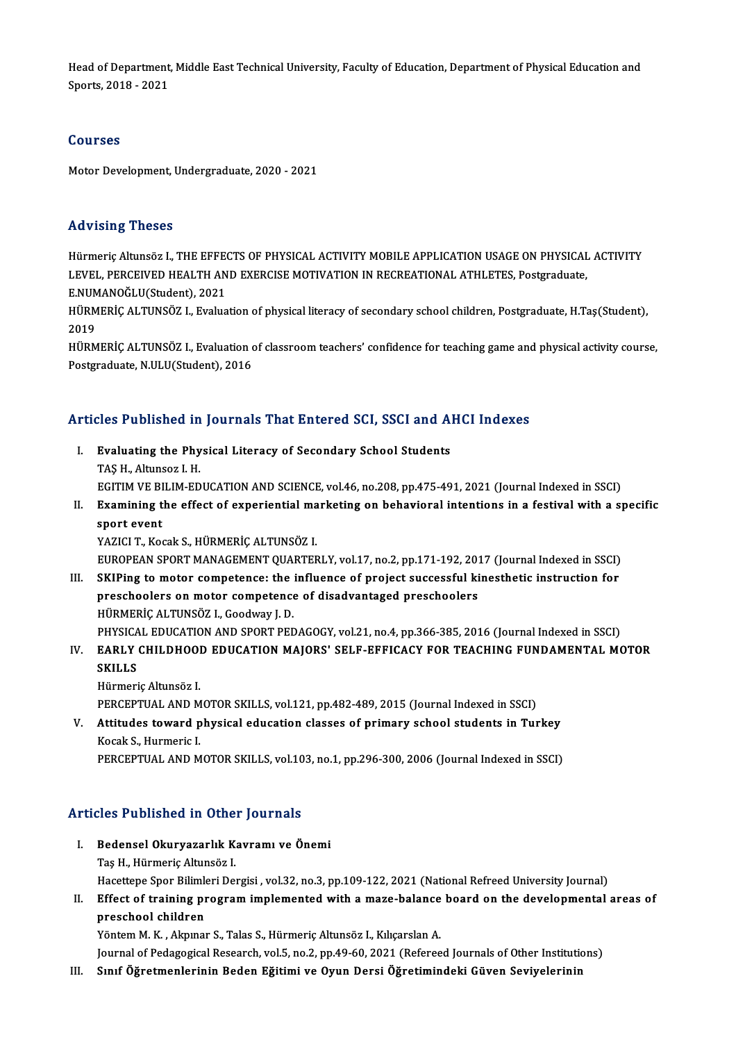Head of Department, Middle East Technical University, Faculty of Education, Department of Physical Education and<br>Sperts, 2018, ...2021 Head of Department,<br>Sports, 2018 - 2021 Sports, 2018 - 2021<br>Courses

Motor Development, Undergraduate, 2020 - 2021

### Advising Theses

Hürmeric Altunsöz I., THE EFFECTS OF PHYSICAL ACTIVITY MOBILE APPLICATION USAGE ON PHYSICAL ACTIVITY LEVEL, PERCEIVED HEALTH AND EXERCISE MOTIVATION IN RECREATIONAL ATHLETES, Postgraduate, Hürmeriç Altunsöz I., THE EFFE<br>LEVEL, PERCEIVED HEALTH AN<br>E.NUMANOĞLU(Student), 2021<br>HÜPMEPİC ALTINSÖZ I. Evalya

HÜRMERİÇ ALTUNSÖZ I., Evaluation of physical literacy of secondary school children, Postgraduate, H.Taş(Student),<br>2019 E.NUM<br>HÜRM<br>2019<br>HÜDM HÜRMERİÇ ALTUNSÖZ I., Evaluation of physical literacy of secondary school children, Postgraduate, H.Taş(Student),<br>2019<br>HÜRMERİÇ ALTUNSÖZ I., Evaluation of classroom teachers' confidence for teaching game and physical activ

2019<br>HÜRMERİÇ ALTUNSÖZ I., Evaluation o<br>Postgraduate, N.ULU(Student), 2016

# Articles Published in Journals That Entered SCI, SSCI and AHCI Indexes

rticles Published in Journals That Entered SCI, SSCI and Al<br>I. Evaluating the Physical Literacy of Secondary School Students<br>TAS H. Altunggr J. H. I. Evaluating the Physical Literacy of Secondary School Students<br>TAS H., Altunsoz I. H. Evaluating the Physical Literacy of Secondary School Students<br>TAŞ H., Altunsoz I. H.<br>EGITIM VE BILIM-EDUCATION AND SCIENCE, vol.46, no.208, pp.475-491, 2021 (Journal Indexed in SSCI)<br>Evamining the effect of evnoriential ma

TAŞ H., Altunsoz I. H.<br>EGITIM VE BILIM-EDUCATION AND SCIENCE, vol.46, no.208, pp.475-491, 2021 (Journal Indexed in SSCI)<br>II. Examining the effect of experiential marketing on behavioral intentions in a festival with a spec EGITIM VE BI<br><mark>Examining t</mark><br>sport event<br><sup>VAZICI T. Ko</sub></sup> Examining the effect of experiential ma<br>sport event<br>YAZICI T., Kocak S., HÜRMERİÇ ALTUNSÖZ I.<br>EUROPEAN SPOPT MANAÇEMENT QUARTER sport event<br>YAZICI T., Kocak S., HÜRMERİÇ ALTUNSÖZ I.<br>EUROPEAN SPORT MANAGEMENT QUARTERLY, vol.17, no.2, pp.171-192, 2017 (Journal Indexed in SSCI)<br>SKIRing to moter compatence: the influence of project sussessful kinesthet

YAZICI T., Kocak S., HÜRMERİÇ ALTUNSÖZ I.<br>EUROPEAN SPORT MANAGEMENT QUARTERLY, vol.17, no.2, pp.171-192, 2017 (Journal Indexed in SSCI)<br>III. SKIPing to motor competence: the influence of project successful kinesthetic inst EUROPEAN SPORT MANAGEMENT QUARTERLY, vol.17, no.2, pp.171-192, 2013<br>SKIPing to motor competence: the influence of project successful kipreschoolers on motor competence of disadvantaged preschoolers<br>HÜPMERIC ALTINSÖZ L Cood III. SKIPing to motor competence: the influence of project successful kinesthetic instruction for<br>preschoolers on motor competence of disadvantaged preschoolers<br>HÜRMERİÇ ALTUNSÖZ I., Goodway J. D. PHYSICAL EDUCATION AND SPORT PEDAGOGY, vol.21, no.4, pp.366-385, 2016 (Journal Indexed in SSCI) HÜRMERİÇ ALTUNSÖZ I., Goodway J. D.<br>PHYSICAL EDUCATION AND SPORT PEDAGOGY, vol.21, no.4, pp.366-385, 2016 (Journal Indexed in SSCI)<br>IV. EARLY CHILDHOOD EDUCATION MAJORS' SELF-EFFICACY FOR TEACHING FUNDAMENTAL MOTOR<br>SKI

PHYSICA<br>EARLY<br>SKILLS<br><sup>Hürmori</sup>

EARLY CHILDHOOI<br>SKILLS<br>Hürmeriç Altunsöz I.<br>PERCERTIAL AND M SKILLS<br>Hürmeriç Altunsöz I.<br>PERCEPTUAL AND MOTOR SKILLS, vol.121, pp.482-489, 2015 (Journal Indexed in SSCI) Hürmeriç Altunsöz I.<br>PERCEPTUAL AND MOTOR SKILLS, vol.121, pp.482-489, 2015 (Journal Indexed in SSCI)<br>V. Attitudes toward physical education classes of primary school students in Turkey<br>Kesek S. Hurmeric I.

PERCEPTUAL AND M<br>Attitudes toward p<br>Kocak S., Hurmeric I.<br>PERCEPTUAL AND M Attitudes toward physical education classes of primary school students in Turkey<br>Kocak S., Hurmeric I.<br>PERCEPTUAL AND MOTOR SKILLS, vol.103, no.1, pp.296-300, 2006 (Journal Indexed in SSCI)

# Articles Published in Other Journals

- rticles Published in Other Journals<br>I. Bedensel Okuryazarlık Kavramı ve Önemi<br>Tes H. Hüymenis Altunsöz I. Bedensel Okuryazarlık Kavramı ve Önemi<br>Taş H., Hürmeriç Altunsöz I. Bedensel Okuryazarlık Kavramı ve Önemi<br>Taş H., Hürmeriç Altunsöz I.<br>Hacettepe Spor Bilimleri Dergisi , vol.32, no.3, pp.109-122, 2021 (National Refreed University Journal)<br>Effect of training program implemented with a mage
- II. Effect of training program implemented with a maze-balance board on the developmental areas of preschool children Hacettepe Spor Bilimle<br>Effect of training preschool children<br>Väntam M. K., Almuar

Yöntem M.K., Akpınar S., Talas S., Hürmeriç Altunsöz I., Kılıçarslan A.

- preschool children<br>Yöntem M. K. , Akpınar S., Talas S., Hürmeriç Altunsöz I., Kılıçarslan A.<br>Journal of Pedagogical Research, vol.5, no.2, pp.49-60, 2021 (Refereed Journals of Other Institutions)<br>Sınıf Öğretmenlerinin Bede
- Yöntem M. K. , Akpınar S., Talas S., Hürmeriç Altunsöz I., Kılıçarslan A.<br>Journal of Pedagogical Research, vol.5, no.2, pp.49-60, 2021 (Refereed Journals of Other Institution<br>III. Sınıf Öğretmenlerinin Beden Eğitimi ve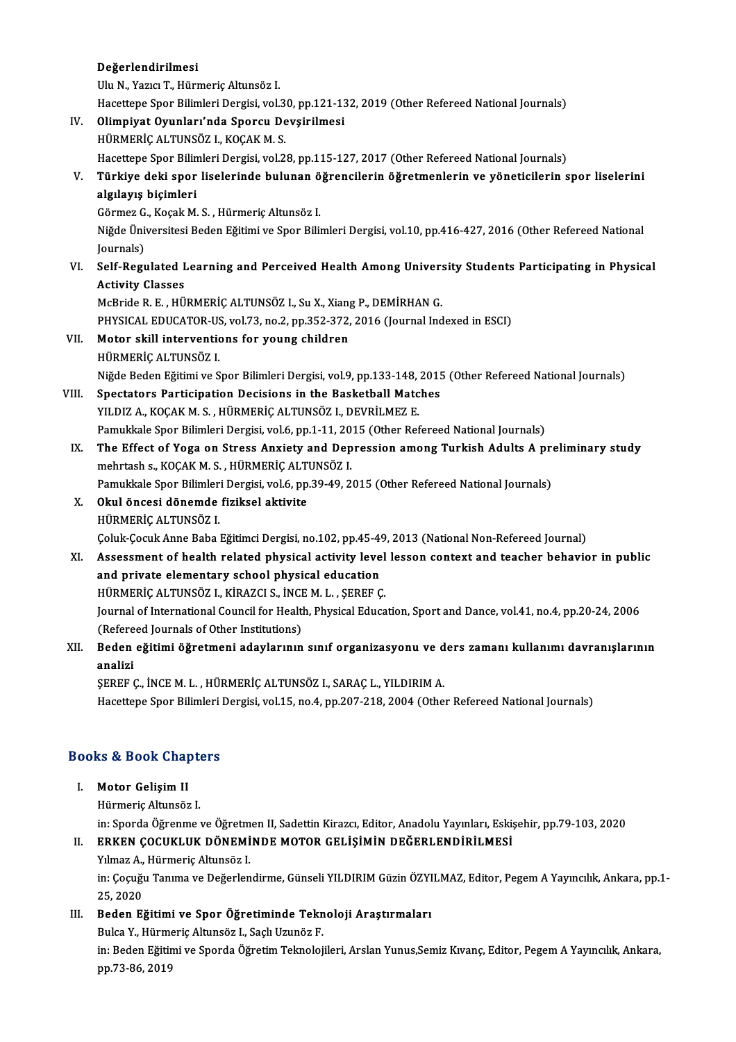### Değerlendirilmesi

UluN.,YazıcıT.,HürmeriçAltunsöz I. Değerlendirilmesi<br>Ulu N., Yazıcı T., Hürmeriç Altunsöz I.<br>Hacettepe Spor Bilimleri Dergisi, vol.30, pp.121-132, 2019 (Other Refereed National Journals)<br>Olimniyat Quunları'nda Sponsu Doveirilmesi IV. Olimpiyat Oyunları'nda Sporcu Devşirilmesi Hacettepe Spor Bilimleri Dergisi, vol.3<br>Olimpiyat Oyunları'nda Sporcu De<br>HÜRMERİÇ ALTUNSÖZ I., KOÇAK M. S.<br>Hacettene Spor Bilimleri Dergisi, vol.2 Hacettepe Spor Bilimleri Dergisi, vol.28, pp.115-127, 2017 (Other Refereed National Journals) HÜRMERİÇ ALTUNSÖZ I., KOÇAK M. S.<br>Hacettepe Spor Bilimleri Dergisi, vol.28, pp.115-127, 2017 (Other Refereed National Journals)<br>V. Türkiye deki spor liselerinde bulunan öğrencilerin öğretmenlerin ve yöneticilerin spor Hacettepe Spor Bilin<br><mark>Türkiye deki spor</mark><br>algılayış biçimleri<br>Görmez C. Kosak M Türkiye deki spor liselerinde bulunan ö<br>algılayış biçimleri<br>Görmez G., Koçak M. S. , Hürmeriç Altunsöz I.<br>Niğde Üniversitesi Boden Eğitimi ve Spor Bili algılayış biçimleri<br>Görmez G., Koçak M. S. , Hürmeriç Altunsöz I.<br>Niğde Üniversitesi Beden Eğitimi ve Spor Bilimleri Dergisi, vol.10, pp.416-427, 2016 (Other Refereed National Görmez G<br>Niğde Üni<br>Journals)<br>Self Pegy Niğde Üniversitesi Beden Eğitimi ve Spor Bilimleri Dergisi, vol.10, pp.416-427, 2016 (Other Refereed National<br>Journals)<br>VI. Self-Regulated Learning and Perceived Health Among University Students Participating in Physical<br>A Journals)<br>VI. Self-Regulated Learning and Perceived Health Among University Students Participating in Physical<br>Activity Classes McBrideR.E. ,HÜRMERİÇALTUNSÖZ I.,SuX.,XiangP.,DEMİRHANG. Activity Classes<br>McBride R. E. , HÜRMERİÇ ALTUNSÖZ I., Su X., Xiang P., DEMİRHAN G.<br>PHYSICAL EDUCATOR-US, vol.73, no.2, pp.352-372, 2016 (Journal Indexed in ESCI)<br>Metar ekill interventions for young shildron VII. Motor skill interventions for young children<br>HÜRMERİÇ ALTUNSÖZ I. PHYSICAL EDUCATOR-US<br>**Motor skill interventic<br>HÜRMERİÇ ALTUNSÖZ I.**<br>Niğde Bodon Fğitimi ve S Motor skill interventions for young children<br>HÜRMERİÇ ALTUNSÖZ I.<br>Niğde Beden Eğitimi ve Spor Bilimleri Dergisi, vol.9, pp.133-148, 2015 (Other Refereed National Journals)<br>Spostators Bortisination Desisions in the Boskatho HÜRMERİÇ ALTUNSÖZ I.<br>Niğde Beden Eğitimi ve Spor Bilimleri Dergisi, vol.9, pp.133-148, 2015<br>VIII. Spectators Participation Decisions in the Basketball Matches<br>VII.DIZA *VOCAK* M.S. HÜPMERİÇ ALTUNSÖZ I. DEVRİLMEZ E Niğde Beden Eğitimi ve Spor Bilimleri Dergisi, vol.9, pp.133-148,<br>Spectators Participation Decisions in the Basketball Matc<br>YILDIZ A., KOÇAK M. S. , HÜRMERİÇ ALTUNSÖZ I., DEVRİLMEZ E.<br>Pamukkala Spor Bilimleri Dergisi vol.6 Spectators Participation Decisions in the Basketball Matches<br>YILDIZ A., KOÇAK M. S. , HÜRMERİÇ ALTUNSÖZ I., DEVRİLMEZ E.<br>Pamukkale Spor Bilimleri Dergisi, vol.6, pp.1-11, 2015 (Other Refereed National Journals) IX. The Effect of Yoga on Stress Anxiety and Depression among Turkish Adults A preliminary study Pamukkale Spor Bilimleri Dergisi, vol.6, pp.1-11, 20<br>The Effect of Yoga on Stress Anxiety and Dep<br>mehrtash s., KOÇAK M. S. , HÜRMERİÇ ALTUNSÖZ I.<br>Pamukkale Spor Bilimleri Dergisi vol.6, pp.30,40,2 The Effect of Yoga on Stress Anxiety and Depression among Turkish Adults A promentash s., KOÇAK M. S. , HÜRMERİÇ ALTUNSÖZ I.<br>Pamukkale Spor Bilimleri Dergisi, vol.6, pp.39-49, 2015 (Other Refereed National Journals)<br>Okul õ mehrtash s., KOÇAK M. S. , HÜRMERİÇ ALT<br>Pamukkale Spor Bilimleri Dergisi, vol.6, pp.<br>X. Okul öncesi dönemde fiziksel aktivite<br>HÜRMERİÇ ALTUNSÖZ I Pamukkale Spor Bilimler<br>Okul öncesi dönemde<br>HÜRMERİÇ ALTUNSÖZ I.<br>Celuk Ceguk Anne Baba X. Okul öncesi dönemde fiziksel aktivite<br>HÜRMERİÇ ALTUNSÖZ I.<br>Coluk-Çocuk Anne Baba Eğitimci Dergisi, no.102, pp.45-49, 2013 (National Non-Refereed Journal) XI. Assessment of health related physical activity level lesson context and teacher behavior in public Coluk-Cocuk Anne Baba Eğitimci Dergisi, no.102, pp.45-49<br>Assessment of health related physical activity leve<br>and private elementary school physical education<br>H<sup>i</sup>PMEPiC ALTINSÖZ L. KIRAZCLS, İNCEM L. SEPEE C Assessment of health related physical activity level<br>and private elementary school physical education<br>HÜRMERİÇ ALTUNSÖZ I., KİRAZCI S., İNCE M. L. , ŞEREF Ç.<br>Journal of International Council for Health Physical Educa Journal of International Council for Health, Physical Education, Sport and Dance, vol.41, no.4, pp.20-24, 2006<br>(Refereed Journals of Other Institutions) HÜRMERIÇ ALTUNSÖZ I., KİRAZCI S., İNCE M. L., ŞEREF Ç. Journal of International Council for Health, Physical Education, Sport and Dance, vol.41, no.4, pp.20-24, 2006<br>(Refereed Journals of Other Institutions)<br>XII. Beden eğitimi öğretmeni adaylarının sınıf organizasyonu ve d (Refere<br>Beden<br>analizi

## analizi<br>ŞEREF Ç., İNCE M. L. , HÜRMERİÇ ALTUNSÖZ I., SARAÇ L., YILDIRIM A.

Hacettepe Spor Bilimleri Dergisi, vol.15, no.4, pp.207-218, 2004 (Other Refereed National Journals)

## naceuepe spor Buimieri<br>Books & Book Chapters ooks & Book Chap<br>I. Motor Gelişim II<br>Hümoris Altungën

### I. Motor Gelişim II<br>Hürmeriç Altunsöz I.

in: Sporda Öğrenme ve Öğretmen II, Sadettin Kirazcı, Editor, Anadolu Yayınları, Eskişehir, pp.79-103, 2020 in: Sporda Öğrenme ve Öğretm<br>**ERKEN ÇOCUKLUK DÖNEMİ**<br>Yılmaz A., Hürmeriç Altunsöz I.<br>in: Cosuğu Tenume ve Doğarlan

### II. ERKEN ÇOCUKLUK DÖNEMİNDE MOTOR GELİŞİMİN DEĞERLENDİRİLMESİ

in: Çoçuğu Tanıma ve Değerlendirme, Günseli YILDIRIM Güzin ÖZYILMAZ, Editor, Pegem A Yayıncılık, Ankara, pp.1-<br>25, 2020 Yılmaz A.,<br>in: Çoçuğı<br>25, 2020<br>Badan Ei in: Çoçuğu Tanıma ve Değerlendirme, Günseli YILDIRIM Güzin ÖZYI<br>25, 2020<br>III. Beden Eğitimi ve Spor Öğretiminde Teknoloji Araştırmaları<br>Pulsa Y. Hümneris Altunsöz I. Sesk Humöz E

# 25, 2020<br>Beden Eğitimi ve Spor Öğretiminde Tekn<br>Bulca Y., Hürmeriç Altunsöz I., Saçlı Uzunöz F.<br>in: Beden Eğitimi ve Sporda Öğretim Telmeleji

Beden Eğitimi ve Spor Öğretiminde Teknoloji Araştırmaları<br>Bulca Y., Hürmeriç Altunsöz I., Saçlı Uzunöz F.<br>in: Beden Eğitimi ve Sporda Öğretim Teknolojileri, Arslan Yunus,Semiz Kıvanç, Editor, Pegem A Yayıncılık, Ankara,<br>nn Bulca Y., Hürme<br>in: Beden Eğitir<br>pp.73-86, 2019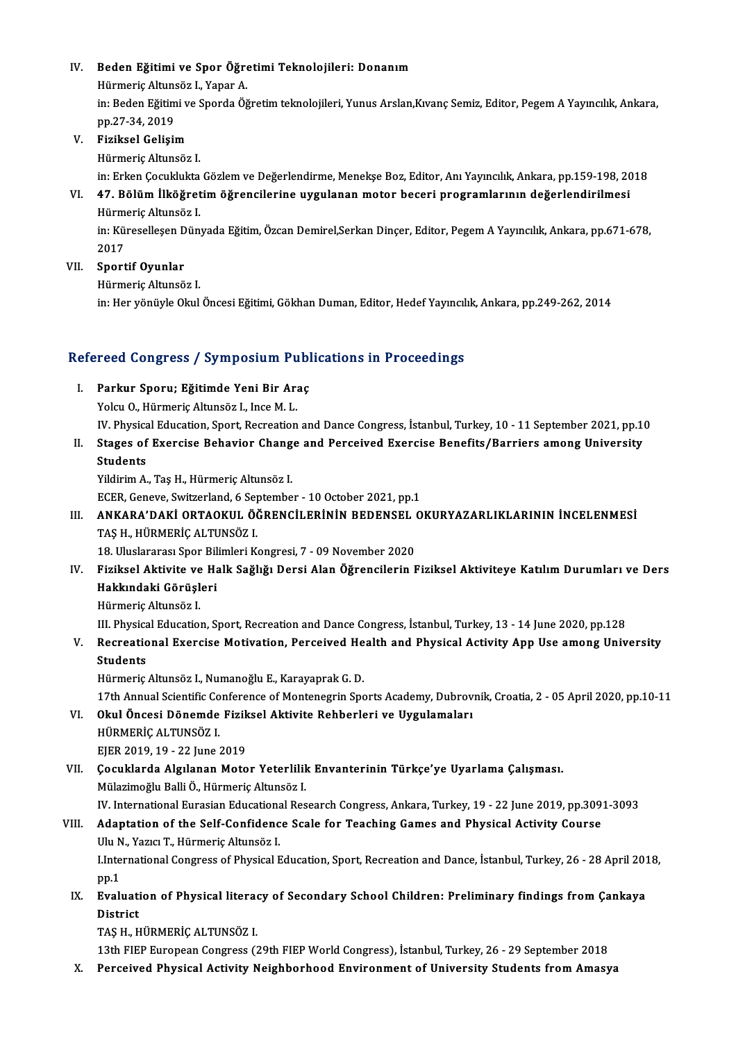# IV. Beden Eğitimi ve Spor Öğretimi Teknolojileri: Donanım

Beden Eğitimi ve Spor Öğre<br>Hürmeriç Altunsöz I., Yapar A.<br>in: Beden Eğitimi ve Sporda Öğ

Beden Eğitimi ve Spor Öğretimi Teknolojileri: Donanım<br>Hürmeriç Altunsöz I., Yapar A.<br>in: Beden Eğitimi ve Sporda Öğretim teknolojileri, Yunus Arslan,Kıvanç Semiz, Editor, Pegem A Yayıncılık, Ankara,<br>nn 27-24-2019 Hürmeriç Altuns<br>in: Beden Eğitim<br>pp.27-34, 2019<br>Eizikaal Calisis

### pp.27-34, 2019<br>V. Fiziksel Gelişim

HürmeriçAltunsöz I.

Fiziksel Gelişim<br>Hürmeriç Altunsöz I.<br>in: Erken Çocuklukta Gözlem ve Değerlendirme, Menekşe Boz, Editor, Anı Yayıncılık, Ankara, pp.159-198, 2018<br>47. Bölüm İlköğretim öğrengilerine uygulanan metar begeri programlarının doğ

VI. 47. Bölümİlköğretimöğrencilerine uygulananmotor beceri programlarının değerlendirilmesi in: Erken Çocuklukta<br>**47. Bölüm İlköğret**<br>Hürmeriç Altunsöz I.<br>in: Küresellesen Dün 47. Bölüm İlköğretim öğrencilerine uygulanan motor beceri programlarının değerlendirilmesi<br>Hürmeriç Altunsöz I.<br>in: Küreselleşen Dünyada Eğitim, Özcan Demirel,Serkan Dinçer, Editor, Pegem A Yayıncılık, Ankara, pp.671-678,<br>

Hürme<br>in: Kül<br>2017<br>Sport

2017<br>VII. Sportif Oyunlar

```
HürmeriçAltunsöz I.
```
in: Her yönüyle Okul Öncesi Eğitimi, Gökhan Duman, Editor, Hedef Yayıncılık, Ankara, pp.249-262, 2014

# m: нег уопиую окиї опсеѕі вдійні, бокпап Duman, войог, недег тауіпси<br>Refereed Congress / Symposium Publications in Proceedings

- efereed Congress / Symposium Publ<br>I. Parkur Sporu; Eğitimde Yeni Bir Araç<br>Velev O. Hüymonis Altuneëz L. Ince M. L I. Parkur Sporu; Eğitimde Yeni Bir Araç<br>Yolcu O., Hürmeriç Altunsöz I., Ince M. L. IV.PhysicalEducation,Sport,RecreationandDanceCongress, İstanbul,Turkey,10 -11 September 2021,pp.10 Yolcu O., Hürmeriç Altunsöz I., Ince M. L.<br>IV. Physical Education, Sport, Recreation and Dance Congress, İstanbul, Turkey, 10 - 11 September 2021, pp.1<br>II. Stages of Exercise Behavior Change and Perceived Exercise Benefits
- IV. Physica<br>Stages of<br>Students<br><sup>Vildirim</sup> A Stages of Exercise Behavior Chang<br>Students<br>Yildirim A., Taş H., Hürmeriç Altunsöz I.<br>ECEP Coneve Suitzerland 6 Sentembe

Students<br>19 Yildirim A., Taş H., Hürmeriç Altunsöz I.<br>ECER, Geneve, Switzerland, 6 September - 10 October 2021, pp.1

### Yildirim A., Taş H., Hürmeriç Altunsöz I.<br>ECER, Geneve, Switzerland, 6 September - 10 October 2021, pp.1<br>III. ANKARA'DAKİ ORTAOKUL ÖĞRENCİLERİNİN BEDENSEL OKURYAZARLIKLARININ İNCELENMESİ<br>TAS H. HÜRMERİC ALTINSÖZ I TAŞ H., HÜRMERİÇ ALTUNSÖZ I.<br>18. Uluslararası Spor Bilimleri Kongresi, 7 - 09 November 2020 ANKARA'DAKİ ORTAOKUL ÖĞRENCİLERİNİN BEDENSEL (<br>TAŞ H., HÜRMERİÇ ALTUNSÖZ I.<br>18. Uluslararası Spor Bilimleri Kongresi, 7 - 09 November 2020<br>Fizikool Aktivite ve Halk Sağlığı Dorsi Alan Öğrensilerin E

- TAŞ H., HÜRMERİÇ ALTUNSÖZ I.<br>18. Uluslararası Spor Bilimleri Kongresi, 7 09 November 2020<br>IV. Fiziksel Aktivite ve Halk Sağlığı Dersi Alan Öğrencilerin Fiziksel Aktiviteye Katılım Durumları ve Ders<br>Hakkındaki Görüsle 18. Uluslararası Spor Bil<br>Fiziksel Aktivite ve Ha<br>Hakkındaki Görüşleri<br>Hürmerie Altuneör L Fiziksel Aktivite ve<br>Hakkındaki Görüşl<br>Hürmeriç Altunsöz I.<br>III. Physicel Educatio H<mark>akkındaki Görüşleri</mark><br>Hürmeriç Altunsöz I.<br>III. Physical Education, Sport, Recreation and Dance Congress, İstanbul, Turkey, 13 - 14 June 2020, pp.128
	-

Hürmeriç Altunsöz I.<br>III. Physical Education, Sport, Recreation and Dance Congress, İstanbul, Turkey, 13 - 14 June 2020, pp.128<br>V. Recreational Exercise Motivation, Perceived Health and Physical Activity App Use among III. Physica<br>Recreatic<br>Students<br>Hümoric

Recreational Exercise Motivation, Perceived He<br>Students<br>Hürmeriç Altunsöz I., Numanoğlu E., Karayaprak G. D.<br>17th Annual Scientific Conference of Montenegrin Spe

Students<br>Hürmeriç Altunsöz I., Numanoğlu E., Karayaprak G. D.<br>17th Annual Scientific Conference of Montenegrin Sports Academy, Dubrovnik, Croatia, 2 - 05 April 2020, pp.10-11<br>Okul Önsesi Dönemde Firiksel Aktivite Behberler Hürmeriç Altunsöz I., Numanoğlu E., Karayaprak G. D.<br>17th Annual Scientific Conference of Montenegrin Sports Academy, Dubrov<br>VI. Okul Öncesi Dönemde Fiziksel Aktivite Rehberleri ve Uygulamaları<br>19 Nüpmepic Al Tinsöz I 17th Annual Scientific Co<br>Okul Öncesi Dönemde<br>HÜRMERİÇ ALTUNSÖZ I.<br>EIER 2019 19 - 22 June 1

- VI. Okul Öncesi Dönemde Fiziksel Aktivite Rehberleri ve Uygulamaları<br>HÜRMERİÇ ALTUNSÖZ I.<br>EJER 2019, 19 22 June 2019
- VII. Çocuklarda Algılanan Motor Yeterlilik Envanterinin Türkçe'ye Uyarlama Çalışması. Mülazimoğlu Balli Ö., Hürmeriç Altunsöz I. IV. International Eurasian Educational Research Congress, Ankara, Turkey, 19 - 22 June 2019, pp.3091-3093

### Mülazimoğlu Balli Ö., Hürmeriç Altunsöz I.<br>IV. International Eurasian Educational Research Congress, Ankara, Turkey, 19 - 22 June 2019, pp.309<br>VIII. Adaptation of the Self-Confidence Scale for Teaching Games and Physic IV. International Eurasian Educationa<br>**Adaptation of the Self-Confidenc**<br>Ulu N., Yazıcı T., Hürmeriç Altunsöz I.<br>Unternational Congress of Physical E Adaptation of the Self-Confidence Scale for Teaching Games and Physical Activity Course<br>Ulu N., Yazıcı T., Hürmeriç Altunsöz I.<br>I.International Congress of Physical Education, Sport, Recreation and Dance, İstanbul, Turkey,

Ulu N<br>LInte<br>pp.1<br>Evek I.International Congress of Physical Education, Sport, Recreation and Dance, İstanbul, Turkey, 26 - 28 April 201<br>pp.1<br>IX. Evaluation of Physical literacy of Secondary School Children: Preliminary findings from Çankaya<br>Dist

pp.1<br><mark>Evaluati</mark><br>District<br>TAS H H Evaluation of Physical litera<br>District<br>TAŞ H., HÜRMERİÇ ALTUNSÖZ I.<br>12th EJER Europeen Congress (´ District<br>TAŞ H., HÜRMERİÇ ALTUNSÖZ I.<br>13th FIEP European Congress (29th FIEP World Congress), İstanbul, Turkey, 26 - 29 September 2018<br>Persejiyad Physisal Astivity Neighberheed Environment of University Students from Ameey

TAŞ H., HÜRMERİÇ ALTUNSÖZ I.<br>13th FIEP European Congress (29th FIEP World Congress), İstanbul, Turkey, 26 - 29 September 2018<br>X. Perceived Physical Activity Neighborhood Environment of University Students from Amasya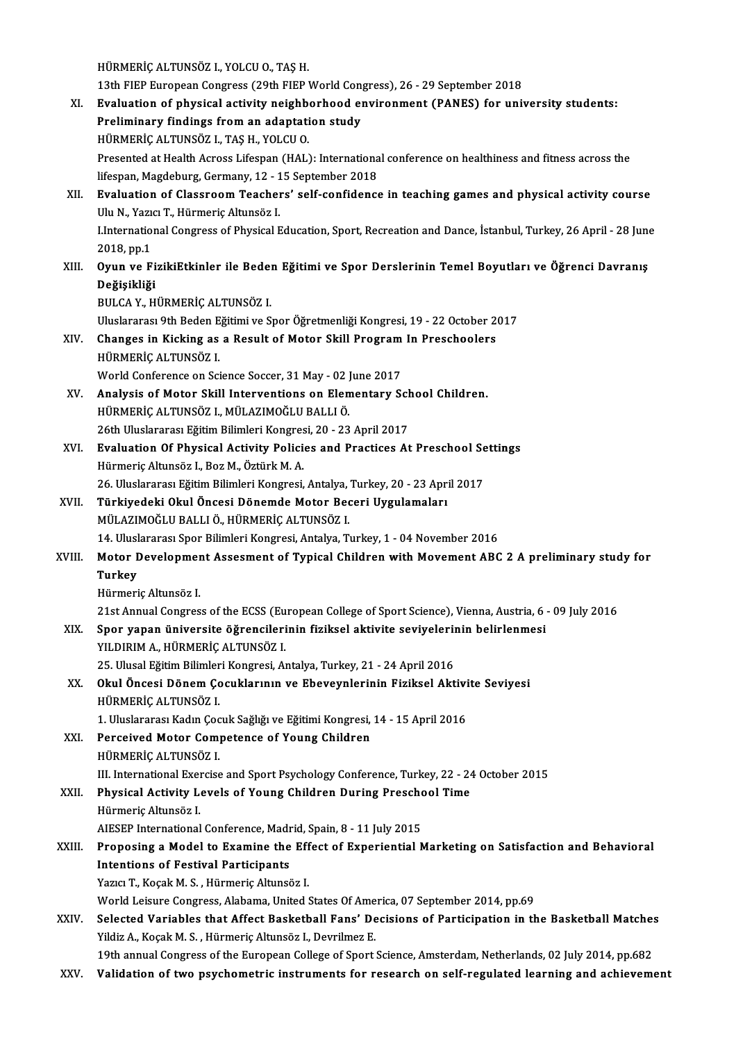HÜRMERİÇALTUNSÖZ I.,YOLCUO.,TAŞH.

HÜRMERİÇ ALTUNSÖZ I., YOLCU O., TAŞ H.<br>13th FIEP European Congress (29th FIEP World Congress), 26 - 29 September 2018<br>Evaluation of nhygisal astivity naishborhood environment (BANES) for unit HÜRMERİÇ ALTUNSÖZ I., YOLCU O., TAŞ H.<br>13th FIEP European Congress (29th FIEP World Congress), 26 - 29 September 2018<br>XI. Evaluation of physical activity neighborhood environment (PANES) for university students:<br>Preliminer 13th FIEP European Congress (29th FIEP World Cong<br>Evaluation of physical activity neighborhood en<br>Preliminary findings from an adaptation study<br>H<sup>ijpMEDic ALTINSÖZ L TAS H,</sup> YOLCU O Evaluation of physical activity neighb<br>Preliminary findings from an adaptati<br>HÜRMERİÇ ALTUNSÖZ I., TAŞ H., YOLCU O.<br>Presented at Health Agress Lifespan (HAL) Preliminary findings from an adaptation study<br>HÜRMERİÇ ALTUNSÖZ I., TAŞ H., YOLCU O.<br>Presented at Health Across Lifespan (HAL): International conference on healthiness and fitness across the<br>lifespan Magdeburg Cermany, 12, HÜRMERİÇ ALTUNSÖZ I., TAŞ H., YOLCU O.<br>Presented at Health Across Lifespan (HAL): Internationa<br>lifespan, Magdeburg, Germany, 12 - 15 September 2018<br>Evaluation of Classroom Toasbors' self sonfidens: XII. Evaluation of Classroom Teachers' self-confidence in teaching games and physical activity course<br>Ulu N., Yazıcı T., Hürmeric Altunsöz I. lifespan, Magdeburg, Germany, 12 - 15 September 2018 Evaluation of Classroom Teachers' self-confidence in teaching games and physical activity course<br>Ulu N., Yazıcı T., Hürmeriç Altunsöz I.<br>I.International Congress of Physical Education, Sport, Recreation and Dance, İstanbul Ulu N., Yazı<br>I.Internatio<br>2018, pp.1<br>Ovun ve E I.International Congress of Physical Education, Sport, Recreation and Dance, İstanbul, Turkey, 26 April - 28 June<br>2018, pp.1<br>XIII. Oyun ve FizikiEtkinler ile Beden Eğitimi ve Spor Derslerinin Temel Boyutları ve Öğrenci 2018, pp.1<br>XIII. Oyun ve FizikiEtkinler ile Beden Eğitimi ve Spor Derslerinin Temel Boyutları ve Öğrenci Davranış<br>Değişikliği BULCAY.,HÜRMERİÇALTUNSÖZ I. Değişikliği<br>BULCA Y., HÜRMERİÇ ALTUNSÖZ I.<br>Uluslararası 9th Beden Eğitimi ve Spor Öğretmenliği Kongresi, 19 - 22 October 2017<br>Changes in Kisking 28.2 Result of Motor Skill Rueguam In Presshoolare BULCA Y., HÜRMERİÇ ALTUNSÖZ I.<br>Uluslararası 9th Beden Eğitimi ve Spor Öğretmenliği Kongresi, 19 - 22 October 2<br>XIV. Changes in Kicking as a Result of Motor Skill Program In Preschoolers<br>utipMERIC ALTINSÖZ I Uluslararası 9th Beden E<br><mark>Changes in Kicking as</mark><br>HÜRMERİÇ ALTUNSÖZ I.<br>Werld Conference en Sci Changes in Kicking as a Result of Motor Skill Program In Preschoolers<br>HÜRMERİÇ ALTUNSÖZ I.<br>World Conference on Science Soccer, 31 May - 02 June 2017 HÜRMERİÇ ALTUNSÖZ I.<br>World Conference on Science Soccer, 31 May - 02 June 2017<br>XV. Analysis of Motor Skill Interventions on Elementary School Children.<br>HÜDMERİC ALTUNSÖZ I. MÜLAZMOĞLU PALLLÖ HÜRMERİÇ ALTUNSÖZ I., MÜLAZIMOĞLU BALLI Ö.<br>26th Uluslararası Eğitim Bilimleri Kongresi, 20 - 23 April 2017 Analysis of Motor Skill Interventions on Elementary Sch<br>HÜRMERİÇ ALTUNSÖZ I., MÜLAZIMOĞLU BALLI Ö.<br>26th Uluslararası Eğitim Bilimleri Kongresi, 20 - 23 April 2017<br>Evalustion Of Physical Activity Policies and Prastises At XVI. Evaluation Of Physical Activity Policies and Practices At Preschool Settings HürmeriçAltunsöz I.,BozM.,ÖztürkM.A. Evaluation Of Physical Activity Policies and Practices At Preschool Se<br>Hürmeriç Altunsöz I., Boz M., Öztürk M. A.<br>26. Uluslararası Eğitim Bilimleri Kongresi, Antalya, Turkey, 20 - 23 April 2017<br>Türkiyedeki Okul Öngesi Döne Hürmeriç Altunsöz I., Boz M., Öztürk M. A.<br>26. Uluslararası Eğitim Bilimleri Kongresi, Antalya, Turkey, 20 - 23 Apri<br>XVII. Türkiyedeki Okul Öncesi Dönemde Motor Beceri Uygulamaları<br>MÜLAZIMOČLU PALLLÖ, HÜPMERİC ALTUNSÖZ 26. Uluslararası Eğitim Bilimleri Kongresi, Antalya,<br><mark>Türkiyedeki Okul Öncesi Dönemde Motor Be</mark><br>MÜLAZIMOĞLU BALLI Ö., HÜRMERİÇ ALTUNSÖZ I.<br>14. Uluslararası Spor Bilimleri Kongresi, Antalya T. Türkiyedeki Okul Öncesi Dönemde Motor Beceri Uygulamaları<br>MÜLAZIMOĞLU BALLI Ö., HÜRMERİÇ ALTUNSÖZ I.<br>14. Uluslararası Spor Bilimleri Kongresi, Antalya, Turkey, 1 - 04 November 2016 MÜLAZIMOĞLU BALLI Ö., HÜRMERİÇ ALTUNSÖZ I.<br>14. Uluslararası Spor Bilimleri Kongresi, Antalya, Turkey, 1 - 04 November 2016<br>XVIII. Motor Development Assesment of Typical Children with Movement ABC 2 A preliminary study 14. Ulus<mark>l</mark><br>Motor I<br>Turkey<br><sup>Hürmori</sup> Motor Developmer<br>Turkey<br>Hürmeriç Altunsöz I.<br><sup>21et Annual Congres</sup> Turkey<br>Hürmeriç Altunsöz I.<br>21st Annual Congress of the ECSS (European College of Sport Science), Vienna, Austria, 6 - 09 July 2016 Hürmeriç Altunsöz I.<br>21st Annual Congress of the ECSS (European College of Sport Science), Vienna, Austria, 6<br>XIX. Spor yapan üniversite öğrencilerinin fiziksel aktivite seviyelerinin belirlenmesi<br>XII. DIRIMA A. HÜRMERIC A 21st Annual Congress of the ECSS (Eu<br>Spor yapan üniversite öğrencileri<br>YILDIRIM A., HÜRMERİÇ ALTUNSÖZ I.<br>25 Illucal Eğitim Bilimleri Kongresi, A Spor yapan üniversite öğrencilerinin fiziksel aktivite seviyelerin<br>25. Ulusal Eğitim Bilimleri Kongresi, Antalya, Turkey, 21 - 24 April 2016<br>21. Ulusal Eğitim Bilimleri Kongresi, Antalya, Turkey, 21 - 24 April 2016<br>Okul Ön YILDIRIM A., HÜRMERİÇ ALTUNSÖZ I.<br>25. Ulusal Eğitim Bilimleri Kongresi, Antalya, Turkey, 21 - 24 April 2016<br>XX. Okul Öncesi Dönem Çocuklarının ve Ebeveynlerinin Fiziksel Aktivite Seviyesi<br>uüpMERİÇ ALTUNSÖZ I 25. Ulusal Eğitim Bilimler<br>Okul Öncesi Dönem Ço<br>HÜRMERİÇ ALTUNSÖZ I.<br>1. Uluslararesi Kadın Çoğ Okul Öncesi Dönem Çocuklarının ve Ebeveynlerinin Fiziksel Aktivi<br>HÜRMERİÇ ALTUNSÖZ I.<br>1. Uluslararası Kadın Çocuk Sağlığı ve Eğitimi Kongresi, 14 - 15 April 2016<br>Perseiyed Meter Competence of Young Children HÜRMERİÇ ALTUNSÖZ I.<br>1. Uluslararası Kadın Çocuk Sağlığı ve Eğitimi Kongresi,<br>XXI. Perceived Motor Competence of Young Children<br>uüpMERİÇ ALTUNSÖZ I 1. Uluslararası Kadın Çoc<br>Perceived Motor Com<br>HÜRMERİÇ ALTUNSÖZ I.<br>III. International Exerciss HÜRMERİÇ ALTUNSÖZ I.<br>III. International Exercise and Sport Psychology Conference, Turkey, 22 - 24 October 2015 HÜRMERİÇ ALTUNSÖZ I.<br>III. International Exercise and Sport Psychology Conference, Turkey, 22 - 24<br>XXII. Physical Activity Levels of Young Children During Preschool Time<br>Hürmeric Altuneëz I III. International Exer<br>Physical Activity L<br>Hürmeriç Altunsöz I.<br>AIESEP International Physical Activity Levels of Young Children During Prescho<br>Hürmeric Altunsöz I.<br>AIESEP International Conference, Madrid, Spain, 8 - 11 July 2015<br>Prenesing a Model to Evernine the Effect of Everniential N Hürmeriç Altunsöz I.<br>AIESEP International Conference, Madrid, Spain, 8 - 11 July 2015<br>XXIII. Proposing a Model to Examine the Effect of Experiential Marketing on Satisfaction and Behavioral<br>Intentions of Ecstivel Perticipa AIESEP International Conference, Madr<br>Proposing a Model to Examine the<br>Intentions of Festival Participants<br>Varia T. Kasak M.S., Hünmeris Altunes Proposing a Model to Examine the Eff<br>Intentions of Festival Participants<br>Yazıcı T., Koçak M. S., Hürmeriç Altunsöz I.<br>World Leisure Congress, Alabama United ( Intentions of Festival Participants<br>Yazıcı T., Koçak M. S. , Hürmeriç Altunsöz I.<br>World Leisure Congress, Alabama, United States Of America, 07 September 2014, pp.69<br>Selested Veriables that Affost Besketbell Fens' Desision Yazıcı T., Koçak M. S. , Hürmeriç Altunsöz I.<br>World Leisure Congress, Alabama, United States Of America, 07 September 2014, pp.69<br>XXIV. Selected Variables that Affect Basketball Fans' Decisions of Participation in the Bask World Leisure Congress, Alabama, United States Of Ame<br>Selected Variables that Affect Basketball Fans' De<br>Yildiz A., Koçak M. S. , Hürmeriç Altunsöz I., Devrilmez E.<br>10th annual Congress of the European College of Sport Selected Variables that Affect Basketball Fans' Decisions of Participation in the Basketball Matches<br>Yildiz A., Koçak M. S. , Hürmeriç Altunsöz I., Devrilmez E.<br>19th annual Congress of the European College of Sport Science Yildiz A., Koçak M. S. , Hürmeriç Altunsöz I., Devrilmez E.<br>19th annual Congress of the European College of Sport Science, Amsterdam, Netherlands, 02 July 2014, pp.682<br>XXV. Validation of two psychometric instruments fo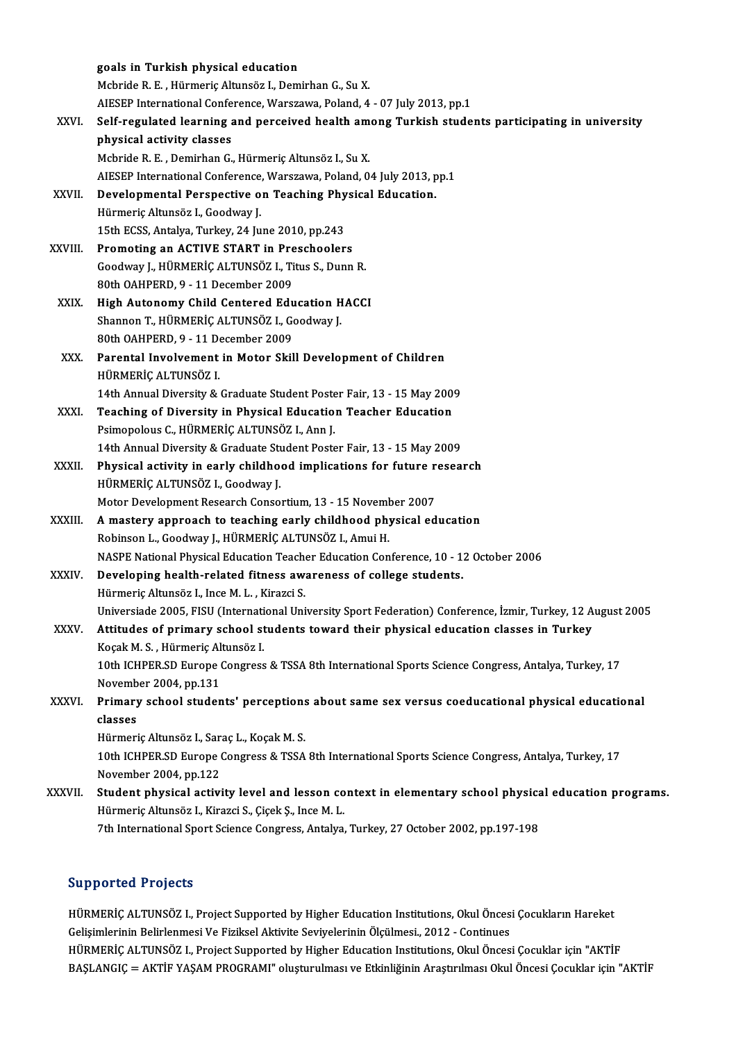|              | goals in Turkish physical education                                                                          |
|--------------|--------------------------------------------------------------------------------------------------------------|
|              | Mcbride R. E., Hürmeriç Altunsöz I., Demirhan G., Su X.                                                      |
|              | AIESEP International Conference, Warszawa, Poland, 4 - 07 July 2013, pp.1                                    |
| XXVI.        | Self-regulated learning and perceived health among Turkish students participating in university              |
|              | physical activity classes                                                                                    |
|              | Mcbride R. E., Demirhan G., Hürmeriç Altunsöz I., Su X.                                                      |
|              | AIESEP International Conference, Warszawa, Poland, 04 July 2013, pp.1                                        |
| XXVII.       | Developmental Perspective on Teaching Physical Education.                                                    |
|              | Hürmeriç Altunsöz I., Goodway J.                                                                             |
|              | 15th ECSS, Antalya, Turkey, 24 June 2010, pp 243                                                             |
| XXVIII.      | Promoting an ACTIVE START in Preschoolers                                                                    |
|              | Goodway J., HÜRMERİÇ ALTUNSÖZ I., Titus S., Dunn R.                                                          |
|              | 80th OAHPERD, 9 - 11 December 2009                                                                           |
| XXIX.        | High Autonomy Child Centered Education HACCI                                                                 |
|              | Shannon T., HÜRMERİÇ ALTUNSÖZ I., Goodway J.                                                                 |
|              | 80th OAHPERD, 9 - 11 December 2009                                                                           |
| XXX.         | Parental Involvement in Motor Skill Development of Children                                                  |
|              | HÜRMERIÇ ALTUNSÖZ I.                                                                                         |
|              | 14th Annual Diversity & Graduate Student Poster Fair, 13 - 15 May 2009                                       |
| XXXI.        | Teaching of Diversity in Physical Education Teacher Education                                                |
|              | Psimopolous C., HÜRMERİÇ ALTUNSÖZ I., Ann J.                                                                 |
|              | 14th Annual Diversity & Graduate Student Poster Fair, 13 - 15 May 2009                                       |
| XXXII.       | Physical activity in early childhood implications for future research                                        |
|              | HÜRMERİÇ ALTUNSÖZ I., Goodway J.                                                                             |
|              | Motor Development Research Consortium, 13 - 15 November 2007                                                 |
| XXXIII.      | A mastery approach to teaching early childhood physical education                                            |
|              | Robinson L., Goodway J., HÜRMERİÇ ALTUNSÖZ I., Amui H.                                                       |
|              | NASPE National Physical Education Teacher Education Conference, 10 - 12 October 2006                         |
| <b>XXXIV</b> | Developing health-related fitness awareness of college students.                                             |
|              | Hürmeric Altunsöz I., Ince M. L., Kirazci S.                                                                 |
|              | Universiade 2005, FISU (International University Sport Federation) Conference, İzmir, Turkey, 12 August 2005 |
| <b>XXXV</b>  | Attitudes of primary school students toward their physical education classes in Turkey                       |
|              | Koçak M. S., Hürmeriç Altunsöz I.                                                                            |
|              | 10th ICHPER.SD Europe Congress & TSSA 8th International Sports Science Congress, Antalya, Turkey, 17         |
|              | November 2004, pp 131                                                                                        |
| XXXVI.       | Primary school students' perceptions about same sex versus coeducational physical educational                |
|              | classes                                                                                                      |
|              | Hürmeriç Altunsöz I., Saraç L., Koçak M. S.                                                                  |
|              | 10th ICHPER.SD Europe Congress & TSSA 8th International Sports Science Congress, Antalya, Turkey, 17         |
|              | November 2004, pp 122                                                                                        |
| XXXVII.      | Student physical activity level and lesson context in elementary school physical education programs.         |
|              | Hürmeriç Altunsöz I., Kirazci S., Çiçek Ş., Ince M. L.                                                       |
|              | 7th International Sport Science Congress, Antalya, Turkey, 27 October 2002, pp.197-198                       |
|              |                                                                                                              |

### Supported Projects

Supported Projects<br>HÜRMERİÇ ALTUNSÖZ I., Project Supported by Higher Education Institutions, Okul Öncesi Çocukların Hareket<br>Celisimlerinin Belinlarmesi Ve Firilisel Aktivite Seviyalerinin Ölgülmesi, 2012, Centinues Bupporteur i rojects<br>HÜRMERİÇ ALTUNSÖZ I., Project Supported by Higher Education Institutions, Okul Önces:<br>Gelişimlerinin Belirlenmesi Ve Fiziksel Aktivite Seviyelerinin Ölçülmesi., 2012 - Continues<br>HÜRMERİÇ ALTUNSÖZ I. Pr Gelişimlerinin Belirlenmesi Ve Fiziksel Aktivite Seviyelerinin Ölçülmesi., 2012 - Continues<br>HÜRMERİÇ ALTUNSÖZ I., Project Supported by Higher Education Institutions, Okul Öncesi Çocuklar için "AKTİF BAŞLANGIÇ = AKTİF YAŞAM PROGRAMI" oluşturulması ve Etkinliğinin Araştırılması Okul Öncesi Çocuklar için "AKTİF